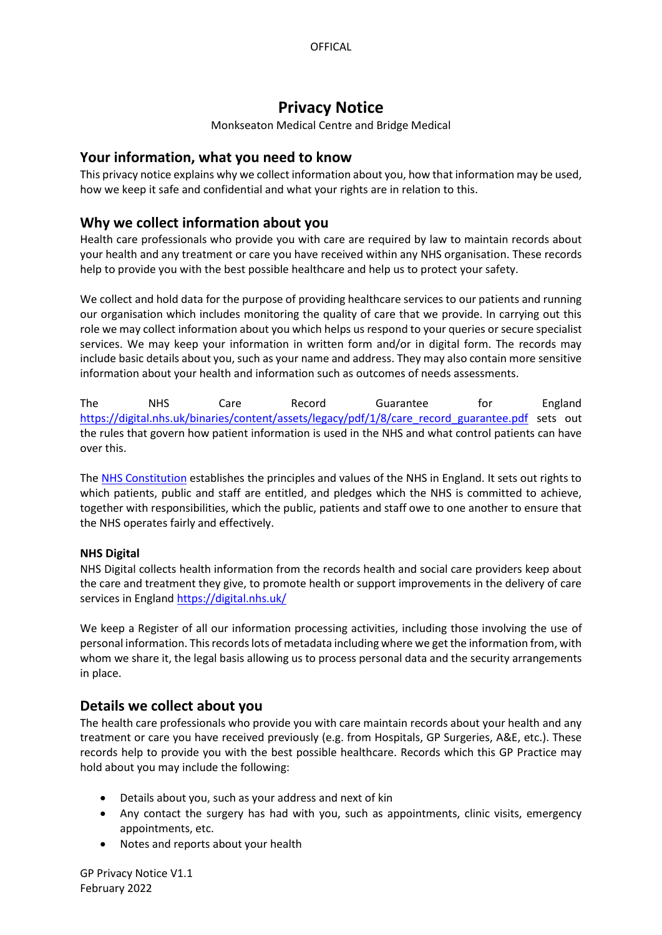# **Privacy Notice**

Monkseaton Medical Centre and Bridge Medical

# **Your information, what you need to know**

This privacy notice explains why we collect information about you, how that information may be used, how we keep it safe and confidential and what your rights are in relation to this.

# **Why we collect information about you**

Health care professionals who provide you with care are required by law to maintain records about your health and any treatment or care you have received within any NHS organisation. These records help to provide you with the best possible healthcare and help us to protect your safety.

We collect and hold data for the purpose of providing healthcare services to our patients and running our organisation which includes monitoring the quality of care that we provide. In carrying out this role we may collect information about you which helps us respond to your queries or secure specialist services. We may keep your information in written form and/or in digital form. The records may include basic details about you, such as your name and address. They may also contain more sensitive information about your health and information such as outcomes of needs assessments.

The NHS Care Record Guarantee for England [https://digital.nhs.uk/binaries/content/assets/legacy/pdf/1/8/care\\_record\\_guarantee.pdf](https://digital.nhs.uk/binaries/content/assets/legacy/pdf/1/8/care_record_guarantee.pdf) sets out the rules that govern how patient information is used in the NHS and what control patients can have over this.

The [NHS Constitution](https://www.gov.uk/government/publications/the-nhs-constitution-for-england) establishes the principles and values of the NHS in England. It sets out rights to which patients, public and staff are entitled, and pledges which the NHS is committed to achieve, together with responsibilities, which the public, patients and staff owe to one another to ensure that the NHS operates fairly and effectively.

## **NHS Digital**

NHS Digital collects health information from the records health and social care providers keep about the care and treatment they give, to promote health or support improvements in the delivery of care services in England <https://digital.nhs.uk/>

We keep a Register of all our information processing activities, including those involving the use of personal information. This records lots of metadata including where we get the information from, with whom we share it, the legal basis allowing us to process personal data and the security arrangements in place.

# **Details we collect about you**

The health care professionals who provide you with care maintain records about your health and any treatment or care you have received previously (e.g. from Hospitals, GP Surgeries, A&E, etc.). These records help to provide you with the best possible healthcare. Records which this GP Practice may hold about you may include the following:

- Details about you, such as your address and next of kin
- Any contact the surgery has had with you, such as appointments, clinic visits, emergency appointments, etc.
- Notes and reports about your health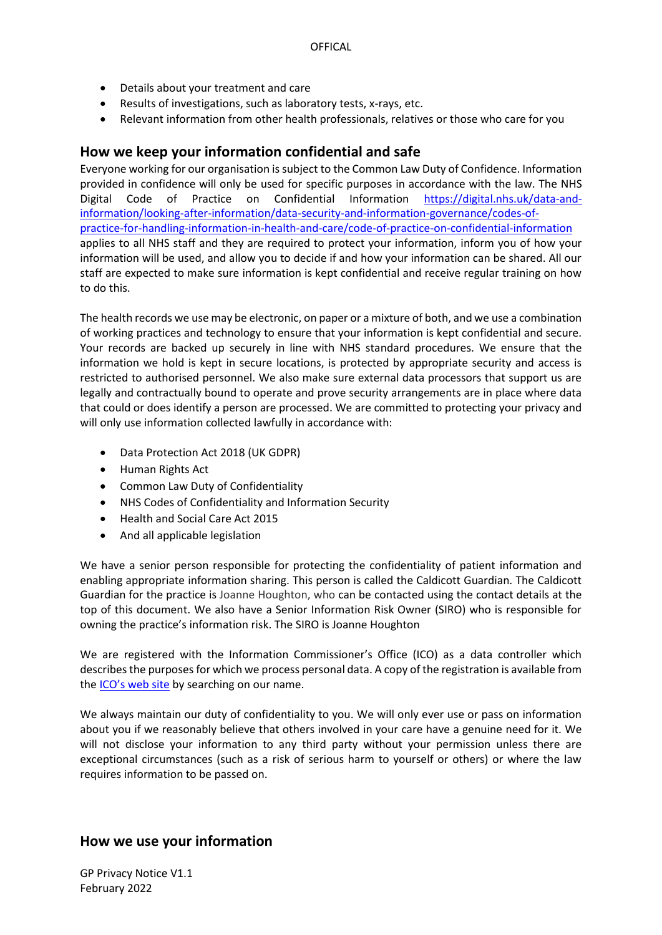- Details about your treatment and care
- Results of investigations, such as laboratory tests, x-rays, etc.
- Relevant information from other health professionals, relatives or those who care for you

### **How we keep your information confidential and safe**

Everyone working for our organisation is subject to the Common Law Duty of Confidence. Information provided in confidence will only be used for specific purposes in accordance with the law. The NHS Digital Code of Practice on Confidential Information [https://digital.nhs.uk/data-and](https://digital.nhs.uk/data-and-information/looking-after-information/data-security-and-information-governance/codes-of-practice-for-handling-information-in-health-and-care/code-of-practice-on-confidential-information)[information/looking-after-information/data-security-and-information-governance/codes-of](https://digital.nhs.uk/data-and-information/looking-after-information/data-security-and-information-governance/codes-of-practice-for-handling-information-in-health-and-care/code-of-practice-on-confidential-information)[practice-for-handling-information-in-health-and-care/code-of-practice-on-confidential-information](https://digital.nhs.uk/data-and-information/looking-after-information/data-security-and-information-governance/codes-of-practice-for-handling-information-in-health-and-care/code-of-practice-on-confidential-information) applies to all NHS staff and they are required to protect your information, inform you of how your information will be used, and allow you to decide if and how your information can be shared. All our staff are expected to make sure information is kept confidential and receive regular training on how to do this.

The health records we use may be electronic, on paper or a mixture of both, and we use a combination of working practices and technology to ensure that your information is kept confidential and secure. Your records are backed up securely in line with NHS standard procedures. We ensure that the information we hold is kept in secure locations, is protected by appropriate security and access is restricted to authorised personnel. We also make sure external data processors that support us are legally and contractually bound to operate and prove security arrangements are in place where data that could or does identify a person are processed. We are committed to protecting your privacy and will only use information collected lawfully in accordance with:

- Data Protection Act 2018 (UK GDPR)
- Human Rights Act
- Common Law Duty of Confidentiality
- NHS Codes of Confidentiality and Information Security
- Health and Social Care Act 2015
- And all applicable legislation

We have a senior person responsible for protecting the confidentiality of patient information and enabling appropriate information sharing. This person is called the Caldicott Guardian. The Caldicott Guardian for the practice is Joanne Houghton, who can be contacted using the contact details at the top of this document. We also have a Senior Information Risk Owner (SIRO) who is responsible for owning the practice's information risk. The SIRO is Joanne Houghton

We are registered with the Information Commissioner's Office (ICO) as a data controller which describes the purposes for which we process personal data. A copy of the registration is available from the [ICO's web site](https://ico.org.uk/about-the-ico/what-we-do/register-of-data-controllers/) by searching on our name.

We always maintain our duty of confidentiality to you. We will only ever use or pass on information about you if we reasonably believe that others involved in your care have a genuine need for it. We will not disclose your information to any third party without your permission unless there are exceptional circumstances (such as a risk of serious harm to yourself or others) or where the law requires information to be passed on.

## **How we use your information**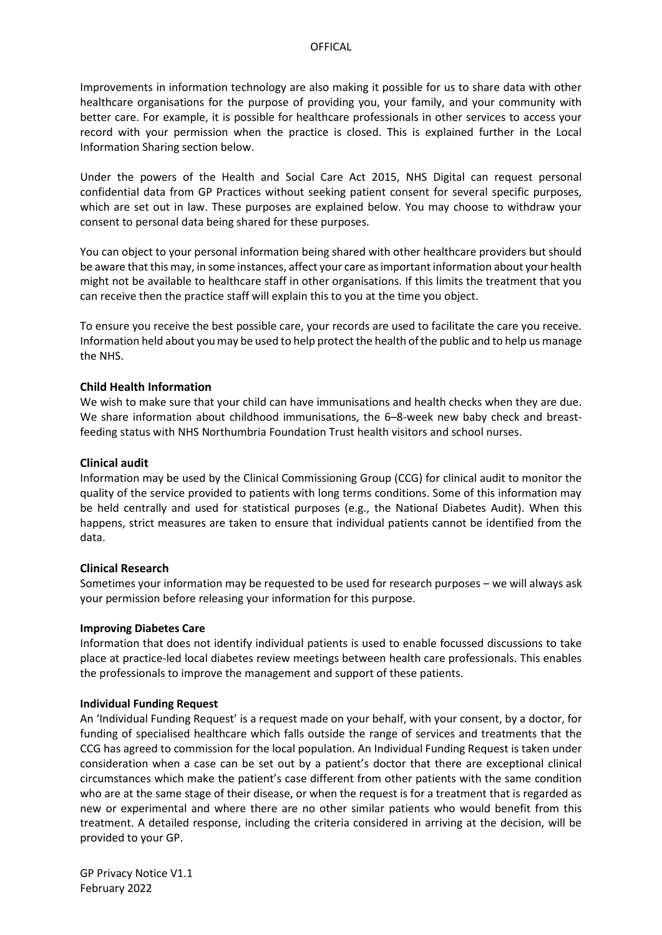Improvements in information technology are also making it possible for us to share data with other healthcare organisations for the purpose of providing you, your family, and your community with better care. For example, it is possible for healthcare professionals in other services to access your record with your permission when the practice is closed. This is explained further in the Local Information Sharing section below.

Under the powers of the Health and Social Care Act 2015, NHS Digital can request personal confidential data from GP Practices without seeking patient consent for several specific purposes, which are set out in law. These purposes are explained below. You may choose to withdraw your consent to personal data being shared for these purposes.

You can object to your personal information being shared with other healthcare providers but should be aware that this may, in some instances, affect your care as important information about your health might not be available to healthcare staff in other organisations. If this limits the treatment that you can receive then the practice staff will explain this to you at the time you object.

To ensure you receive the best possible care, your records are used to facilitate the care you receive. Information held about you may be used to help protect the health of the public and to help us manage the NHS.

### **Child Health Information**

We wish to make sure that your child can have immunisations and health checks when they are due. We share information about childhood immunisations, the 6–8-week new baby check and breastfeeding status with NHS Northumbria Foundation Trust health visitors and school nurses.

### **Clinical audit**

Information may be used by the Clinical Commissioning Group (CCG) for clinical audit to monitor the quality of the service provided to patients with long terms conditions. Some of this information may be held centrally and used for statistical purposes (e.g., the National Diabetes Audit). When this happens, strict measures are taken to ensure that individual patients cannot be identified from the data.

### **Clinical Research**

Sometimes your information may be requested to be used for research purposes – we will always ask your permission before releasing your information for this purpose.

### **Improving Diabetes Care**

Information that does not identify individual patients is used to enable focussed discussions to take place at practice-led local diabetes review meetings between health care professionals. This enables the professionals to improve the management and support of these patients.

### **Individual Funding Request**

An 'Individual Funding Request' is a request made on your behalf, with your consent, by a doctor, for funding of specialised healthcare which falls outside the range of services and treatments that the CCG has agreed to commission for the local population. An Individual Funding Request is taken under consideration when a case can be set out by a patient's doctor that there are exceptional clinical circumstances which make the patient's case different from other patients with the same condition who are at the same stage of their disease, or when the request is for a treatment that is regarded as new or experimental and where there are no other similar patients who would benefit from this treatment. A detailed response, including the criteria considered in arriving at the decision, will be provided to your GP.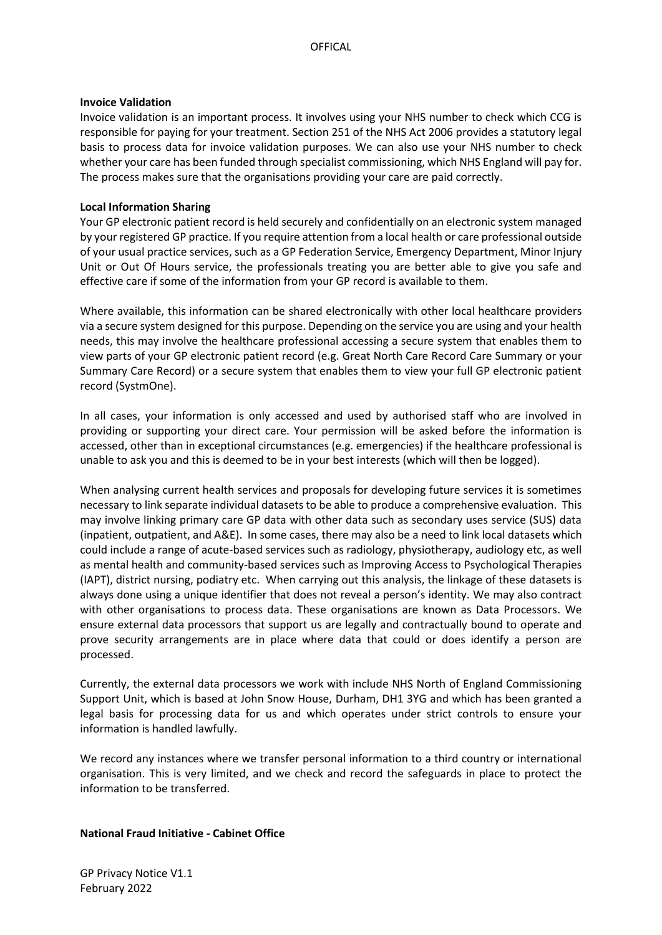#### **Invoice Validation**

Invoice validation is an important process. It involves using your NHS number to check which CCG is responsible for paying for your treatment. Section 251 of the NHS Act 2006 provides a statutory legal basis to process data for invoice validation purposes. We can also use your NHS number to check whether your care has been funded through specialist commissioning, which NHS England will pay for. The process makes sure that the organisations providing your care are paid correctly.

### **Local Information Sharing**

Your GP electronic patient record is held securely and confidentially on an electronic system managed by your registered GP practice. If you require attention from a local health or care professional outside of your usual practice services, such as a GP Federation Service, Emergency Department, Minor Injury Unit or Out Of Hours service, the professionals treating you are better able to give you safe and effective care if some of the information from your GP record is available to them.

Where available, this information can be shared electronically with other local healthcare providers via a secure system designed for this purpose. Depending on the service you are using and your health needs, this may involve the healthcare professional accessing a secure system that enables them to view parts of your GP electronic patient record (e.g. Great North Care Record Care Summary or your Summary Care Record) or a secure system that enables them to view your full GP electronic patient record (SystmOne).

In all cases, your information is only accessed and used by authorised staff who are involved in providing or supporting your direct care. Your permission will be asked before the information is accessed, other than in exceptional circumstances (e.g. emergencies) if the healthcare professional is unable to ask you and this is deemed to be in your best interests (which will then be logged).

When analysing current health services and proposals for developing future services it is sometimes necessary to link separate individual datasets to be able to produce a comprehensive evaluation. This may involve linking primary care GP data with other data such as secondary uses service (SUS) data (inpatient, outpatient, and A&E). In some cases, there may also be a need to link local datasets which could include a range of acute-based services such as radiology, physiotherapy, audiology etc, as well as mental health and community-based services such as Improving Access to Psychological Therapies (IAPT), district nursing, podiatry etc. When carrying out this analysis, the linkage of these datasets is always done using a unique identifier that does not reveal a person's identity. We may also contract with other organisations to process data. These organisations are known as Data Processors. We ensure external data processors that support us are legally and contractually bound to operate and prove security arrangements are in place where data that could or does identify a person are processed.

Currently, the external data processors we work with include NHS North of England Commissioning Support Unit, which is based at John Snow House, Durham, DH1 3YG and which has been granted a legal basis for processing data for us and which operates under strict controls to ensure your information is handled lawfully.

We record any instances where we transfer personal information to a third country or international organisation. This is very limited, and we check and record the safeguards in place to protect the information to be transferred.

### **National Fraud Initiative - Cabinet Office**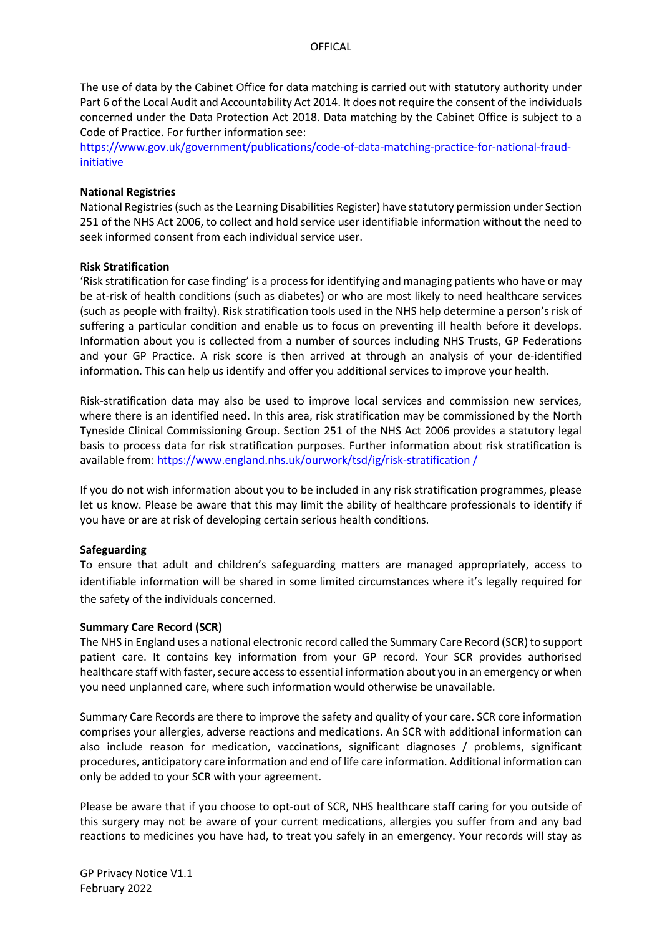The use of data by the Cabinet Office for data matching is carried out with statutory authority under Part 6 of the Local Audit and Accountability Act 2014. It does not require the consent of the individuals concerned under the Data Protection Act 2018. Data matching by the Cabinet Office is subject to a Code of Practice. For further information see:

[https://www.gov.uk/government/publications/code-of-data-matching-practice-for-national-fraud](https://www.gov.uk/government/publications/code-of-data-matching-practice-for-national-fraud-initiative)[initiative](https://www.gov.uk/government/publications/code-of-data-matching-practice-for-national-fraud-initiative)

#### **National Registries**

National Registries (such as the Learning Disabilities Register) have statutory permission under Section 251 of the NHS Act 2006, to collect and hold service user identifiable information without the need to seek informed consent from each individual service user.

#### **Risk Stratification**

'Risk stratification for case finding' is a process for identifying and managing patients who have or may be at-risk of health conditions (such as diabetes) or who are most likely to need healthcare services (such as people with frailty). Risk stratification tools used in the NHS help determine a person's risk of suffering a particular condition and enable us to focus on preventing ill health before it develops. Information about you is collected from a number of sources including NHS Trusts, GP Federations and your GP Practice. A risk score is then arrived at through an analysis of your de-identified information. This can help us identify and offer you additional services to improve your health.

Risk-stratification data may also be used to improve local services and commission new services, where there is an identified need. In this area, risk stratification may be commissioned by the North Tyneside Clinical Commissioning Group. Section 251 of the NHS Act 2006 provides a statutory legal basis to process data for risk stratification purposes. Further information about risk stratification is available from: [https://www.england.nhs.uk/ourwork/tsd/ig/risk-stratification /](https://www.england.nhs.uk/ourwork/tsd/ig/risk-stratification%20/)

If you do not wish information about you to be included in any risk stratification programmes, please let us know. Please be aware that this may limit the ability of healthcare professionals to identify if you have or are at risk of developing certain serious health conditions.

### **Safeguarding**

To ensure that adult and children's safeguarding matters are managed appropriately, access to identifiable information will be shared in some limited circumstances where it's legally required for the safety of the individuals concerned.

#### **Summary Care Record (SCR)**

The NHS in England uses a national electronic record called the Summary Care Record (SCR) to support patient care. It contains key information from your GP record. Your SCR provides authorised healthcare staff with faster, secure access to essential information about you in an emergency or when you need unplanned care, where such information would otherwise be unavailable.

Summary Care Records are there to improve the safety and quality of your care. SCR core information comprises your allergies, adverse reactions and medications. An SCR with additional information can also include reason for medication, vaccinations, significant diagnoses / problems, significant procedures, anticipatory care information and end of life care information. Additional information can only be added to your SCR with your agreement.

Please be aware that if you choose to opt-out of SCR, NHS healthcare staff caring for you outside of this surgery may not be aware of your current medications, allergies you suffer from and any bad reactions to medicines you have had, to treat you safely in an emergency. Your records will stay as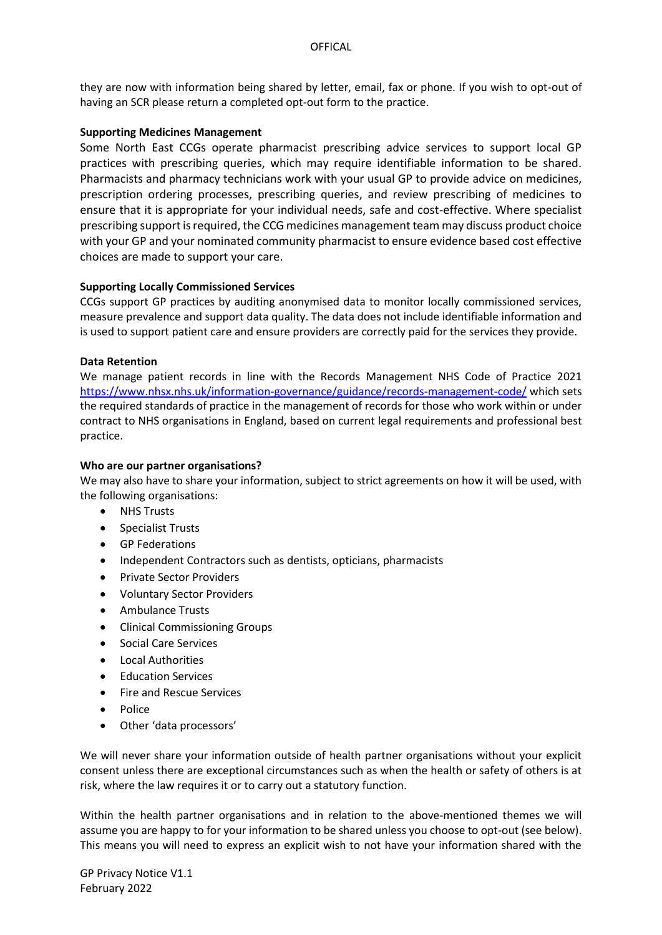they are now with information being shared by letter, email, fax or phone. If you wish to opt-out of having an SCR please return a completed opt-out form to the practice.

### **Supporting Medicines Management**

Some North East CCGs operate pharmacist prescribing advice services to support local GP practices with prescribing queries, which may require identifiable information to be shared. Pharmacists and pharmacy technicians work with your usual GP to provide advice on medicines, prescription ordering processes, prescribing queries, and review prescribing of medicines to ensure that it is appropriate for your individual needs, safe and cost-effective. Where specialist prescribing support is required, the CCG medicines management team may discuss product choice with your GP and your nominated community pharmacist to ensure evidence based cost effective choices are made to support your care.

### **Supporting Locally Commissioned Services**

CCGs support GP practices by auditing anonymised data to monitor locally commissioned services, measure prevalence and support data quality. The data does not include identifiable information and is used to support patient care and ensure providers are correctly paid for the services they provide.

### **Data Retention**

We manage patient records in line with the Records Management NHS Code of Practice 2021 <https://www.nhsx.nhs.uk/information-governance/guidance/records-management-code/> which sets the required standards of practice in the management of records for those who work within or under contract to NHS organisations in England, based on current legal requirements and professional best practice.

### **Who are our partner organisations?**

We may also have to share your information, subject to strict agreements on how it will be used, with the following organisations:

- NHS Trusts
- Specialist Trusts
- GP Federations
- Independent Contractors such as dentists, opticians, pharmacists
- Private Sector Providers
- Voluntary Sector Providers
- Ambulance Trusts
- Clinical Commissioning Groups
- Social Care Services
- Local Authorities
- Education Services
- Fire and Rescue Services
- Police
- Other 'data processors'

We will never share your information outside of health partner organisations without your explicit consent unless there are exceptional circumstances such as when the health or safety of others is at risk, where the law requires it or to carry out a statutory function.

Within the health partner organisations and in relation to the above-mentioned themes we will assume you are happy to for your information to be shared unless you choose to opt-out (see below). This means you will need to express an explicit wish to not have your information shared with the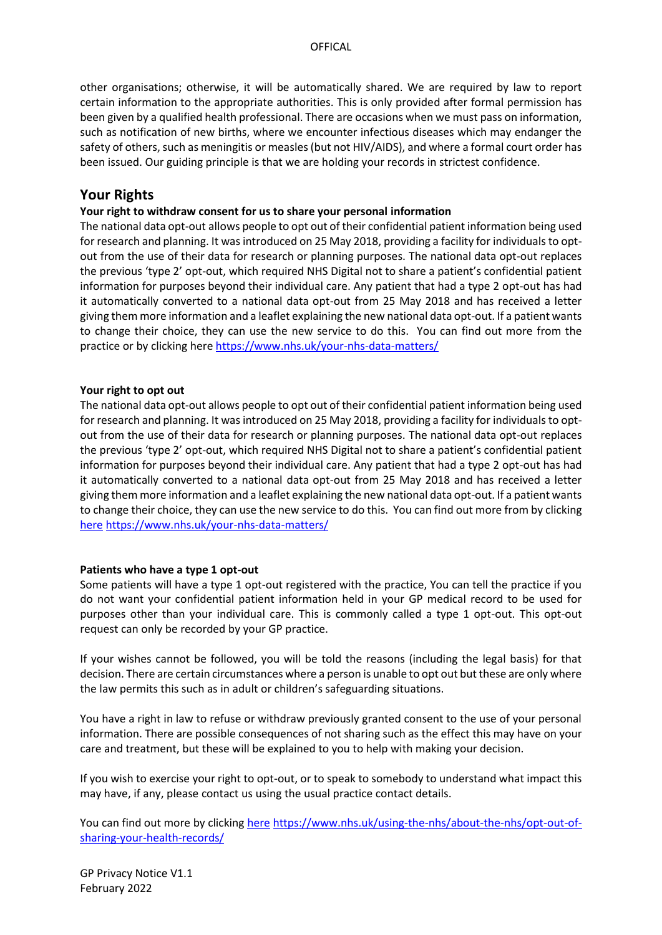other organisations; otherwise, it will be automatically shared. We are required by law to report certain information to the appropriate authorities. This is only provided after formal permission has been given by a qualified health professional. There are occasions when we must pass on information, such as notification of new births, where we encounter infectious diseases which may endanger the safety of others, such as meningitis or measles (but not HIV/AIDS), and where a formal court order has been issued. Our guiding principle is that we are holding your records in strictest confidence.

## **Your Rights**

### **Your right to withdraw consent for us to share your personal information**

The national data opt-out allows people to opt out of their confidential patient information being used for research and planning. It was introduced on 25 May 2018, providing a facility for individuals to optout from the use of their data for research or planning purposes. The national data opt-out replaces the previous 'type 2' opt-out, which required NHS Digital not to share a patient's confidential patient information for purposes beyond their individual care. Any patient that had a type 2 opt-out has had it automatically converted to a national data opt-out from 25 May 2018 and has received a letter giving them more information and a leaflet explaining the new national data opt-out. If a patient wants to change their choice, they can use the new service to do this. You can find out more from the practice or by clicking here<https://www.nhs.uk/your-nhs-data-matters/>

### **Your right to opt out**

The national data opt-out allows people to opt out of their confidential patient information being used for research and planning. It was introduced on 25 May 2018, providing a facility for individuals to optout from the use of their data for research or planning purposes. The national data opt-out replaces the previous 'type 2' opt-out, which required NHS Digital not to share a patient's confidential patient information for purposes beyond their individual care. Any patient that had a type 2 opt-out has had it automatically converted to a national data opt-out from 25 May 2018 and has received a letter giving them more information and a leaflet explaining the new national data opt-out. If a patient wants to change their choice, they can use the new service to do this. You can find out more from by clicking [here](https://www.nhs.uk/your-nhs-data-matters/) <https://www.nhs.uk/your-nhs-data-matters/>

### **Patients who have a type 1 opt-out**

Some patients will have a type 1 opt-out registered with the practice, You can tell the practice if you do not want your confidential patient information held in your GP medical record to be used for purposes other than your individual care. This is commonly called a type 1 opt-out. This opt-out request can only be recorded by your GP practice.

If your wishes cannot be followed, you will be told the reasons (including the legal basis) for that decision. There are certain circumstances where a person is unable to opt out but these are only where the law permits this such as in adult or children's safeguarding situations.

You have a right in law to refuse or withdraw previously granted consent to the use of your personal information. There are possible consequences of not sharing such as the effect this may have on your care and treatment, but these will be explained to you to help with making your decision.

If you wish to exercise your right to opt-out, or to speak to somebody to understand what impact this may have, if any, please contact us using the usual practice contact details.

You can find out more by clicking [here](https://www.nhs.uk/using-the-nhs/about-the-nhs/opt-out-of-sharing-your-health-records/) [https://www.nhs.uk/using-the-nhs/about-the-nhs/opt-out-of](https://www.nhs.uk/using-the-nhs/about-the-nhs/opt-out-of-sharing-your-health-records/)[sharing-your-health-records/](https://www.nhs.uk/using-the-nhs/about-the-nhs/opt-out-of-sharing-your-health-records/)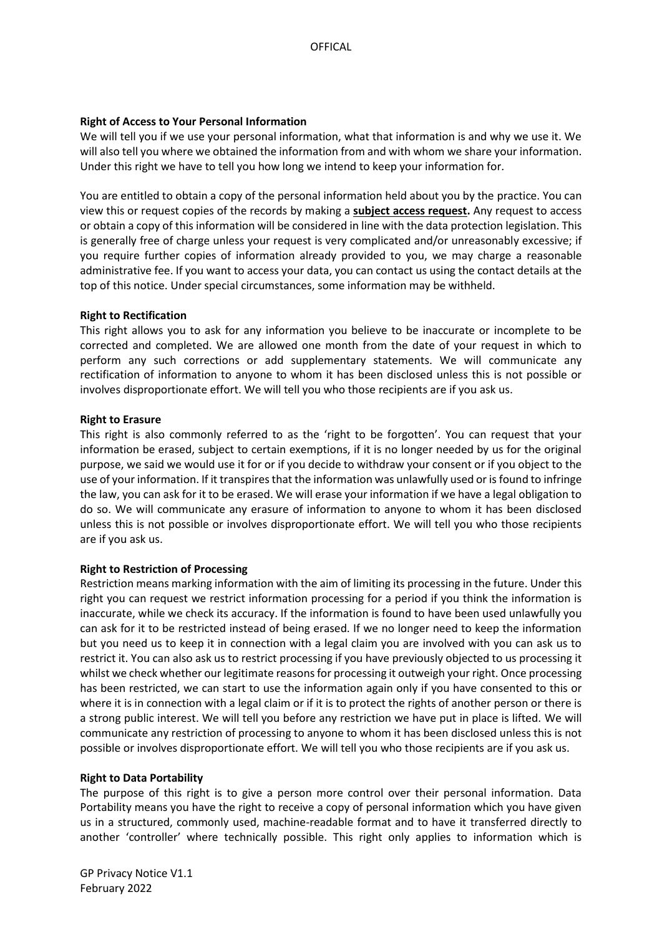### **Right of Access to Your Personal Information**

We will tell you if we use your personal information, what that information is and why we use it. We will also tell you where we obtained the information from and with whom we share your information. Under this right we have to tell you how long we intend to keep your information for.

You are entitled to obtain a copy of the personal information held about you by the practice. You can view this or request copies of the records by making a **[subject access request.](https://ico.org.uk/for-the-public/personal-information/)** Any request to access or obtain a copy of this information will be considered in line with the data protection legislation. This is generally free of charge unless your request is very complicated and/or unreasonably excessive; if you require further copies of information already provided to you, we may charge a reasonable administrative fee. If you want to access your data, you can contact us using the contact details at the top of this notice. Under special circumstances, some information may be withheld.

#### **Right to Rectification**

This right allows you to ask for any information you believe to be inaccurate or incomplete to be corrected and completed. We are allowed one month from the date of your request in which to perform any such corrections or add supplementary statements. We will communicate any rectification of information to anyone to whom it has been disclosed unless this is not possible or involves disproportionate effort. We will tell you who those recipients are if you ask us.

#### **Right to Erasure**

This right is also commonly referred to as the 'right to be forgotten'. You can request that your information be erased, subject to certain exemptions, if it is no longer needed by us for the original purpose, we said we would use it for or if you decide to withdraw your consent or if you object to the use of your information. If it transpires that the information was unlawfully used or is found to infringe the law, you can ask for it to be erased. We will erase your information if we have a legal obligation to do so. We will communicate any erasure of information to anyone to whom it has been disclosed unless this is not possible or involves disproportionate effort. We will tell you who those recipients are if you ask us.

#### **Right to Restriction of Processing**

Restriction means marking information with the aim of limiting its processing in the future. Under this right you can request we restrict information processing for a period if you think the information is inaccurate, while we check its accuracy. If the information is found to have been used unlawfully you can ask for it to be restricted instead of being erased. If we no longer need to keep the information but you need us to keep it in connection with a legal claim you are involved with you can ask us to restrict it. You can also ask us to restrict processing if you have previously objected to us processing it whilst we check whether our legitimate reasons for processing it outweigh your right. Once processing has been restricted, we can start to use the information again only if you have consented to this or where it is in connection with a legal claim or if it is to protect the rights of another person or there is a strong public interest. We will tell you before any restriction we have put in place is lifted. We will communicate any restriction of processing to anyone to whom it has been disclosed unless this is not possible or involves disproportionate effort. We will tell you who those recipients are if you ask us.

#### **Right to Data Portability**

The purpose of this right is to give a person more control over their personal information. Data Portability means you have the right to receive a copy of personal information which you have given us in a structured, commonly used, machine-readable format and to have it transferred directly to another 'controller' where technically possible. This right only applies to information which is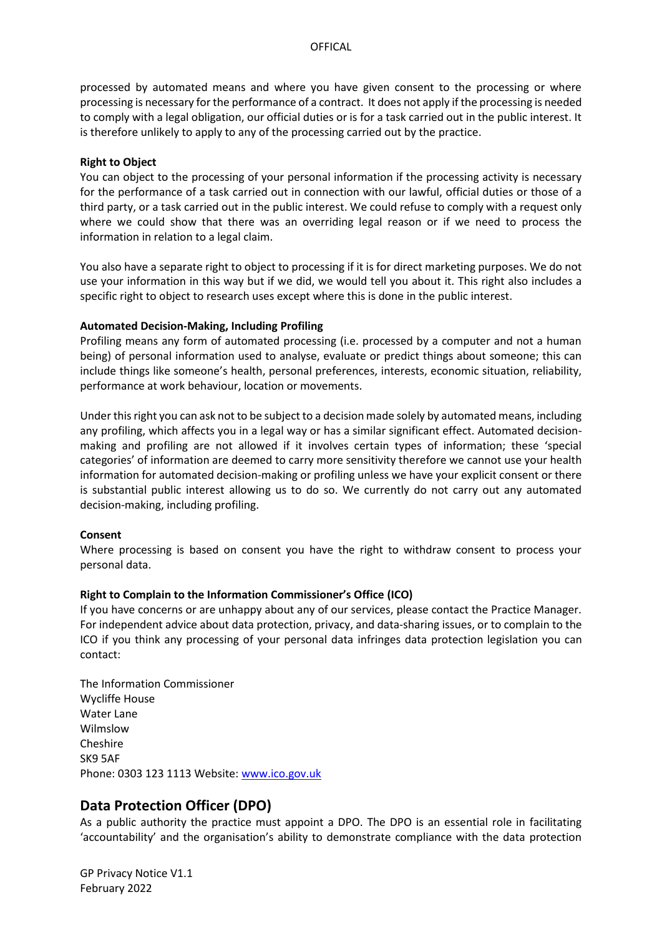processed by automated means and where you have given consent to the processing or where processing is necessary for the performance of a contract. It does not apply if the processing is needed to comply with a legal obligation, our official duties or is for a task carried out in the public interest. It is therefore unlikely to apply to any of the processing carried out by the practice.

### **Right to Object**

You can object to the processing of your personal information if the processing activity is necessary for the performance of a task carried out in connection with our lawful, official duties or those of a third party, or a task carried out in the public interest. We could refuse to comply with a request only where we could show that there was an overriding legal reason or if we need to process the information in relation to a legal claim.

You also have a separate right to object to processing if it is for direct marketing purposes. We do not use your information in this way but if we did, we would tell you about it. This right also includes a specific right to object to research uses except where this is done in the public interest.

#### **Automated Decision-Making, Including Profiling**

Profiling means any form of automated processing (i.e. processed by a computer and not a human being) of personal information used to analyse, evaluate or predict things about someone; this can include things like someone's health, personal preferences, interests, economic situation, reliability, performance at work behaviour, location or movements.

Under this right you can ask not to be subject to a decision made solely by automated means, including any profiling, which affects you in a legal way or has a similar significant effect. Automated decisionmaking and profiling are not allowed if it involves certain types of information; these 'special categories' of information are deemed to carry more sensitivity therefore we cannot use your health information for automated decision-making or profiling unless we have your explicit consent or there is substantial public interest allowing us to do so. We currently do not carry out any automated decision-making, including profiling.

#### **Consent**

Where processing is based on consent you have the right to withdraw consent to process your personal data.

#### **Right to Complain to the Information Commissioner's Office (ICO)**

If you have concerns or are unhappy about any of our services, please contact the Practice Manager. For independent advice about data protection, privacy, and data-sharing issues, or to complain to the ICO if you think any processing of your personal data infringes data protection legislation you can contact:

The Information Commissioner Wycliffe House Water Lane Wilmslow Cheshire SK9 5AF Phone: 0303 123 1113 Website: [www.ico.gov.uk](http://www.ico.gov.uk/)

## **Data Protection Officer (DPO)**

As a public authority the practice must appoint a DPO. The DPO is an essential role in facilitating 'accountability' and the organisation's ability to demonstrate compliance with the data protection